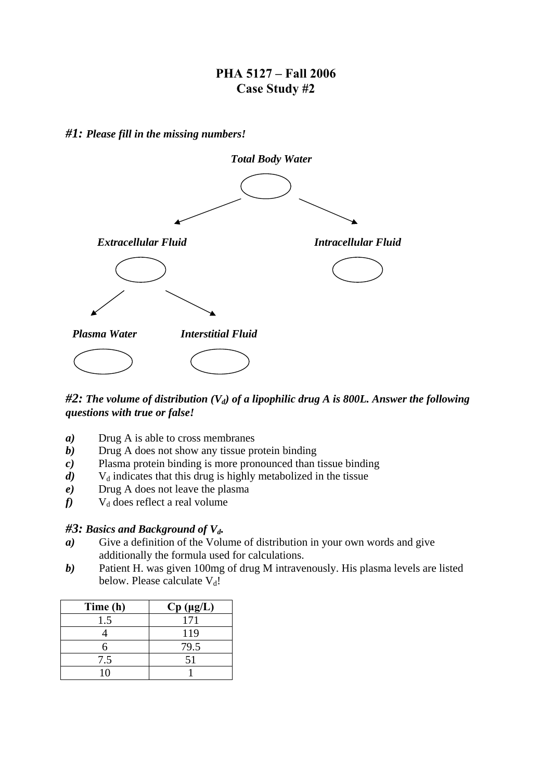## **PHA 5127 – Fall 2006 Case Study #2**

*#1: Please fill in the missing numbers!*



## *#2: The volume of distribution (Vd) of a lipophilic drug A is 800L. Answer the following questions with true or false!*

- *a)* Drug A is able to cross membranes
- *b)* Drug A does not show any tissue protein binding
- *c)* Plasma protein binding is more pronounced than tissue binding
- $\dot{d}$  V<sub>d</sub> indicates that this drug is highly metabolized in the tissue
- *e)* Drug A does not leave the plasma
- $f$   $V_d$  does reflect a real volume

## *#3: Basics and Background of Vd.*

- *a)* Give a definition of the Volume of distribution in your own words and give additionally the formula used for calculations.
- *b)* Patient H. was given 100mg of drug M intravenously. His plasma levels are listed below. Please calculate  $V_d!$

| Time (h) | $Cp$ ( $\mu$ g/L) |
|----------|-------------------|
| 1.5      | 171               |
|          | 119               |
|          | 79.5              |
| 7.5      | 51                |
| 10       |                   |